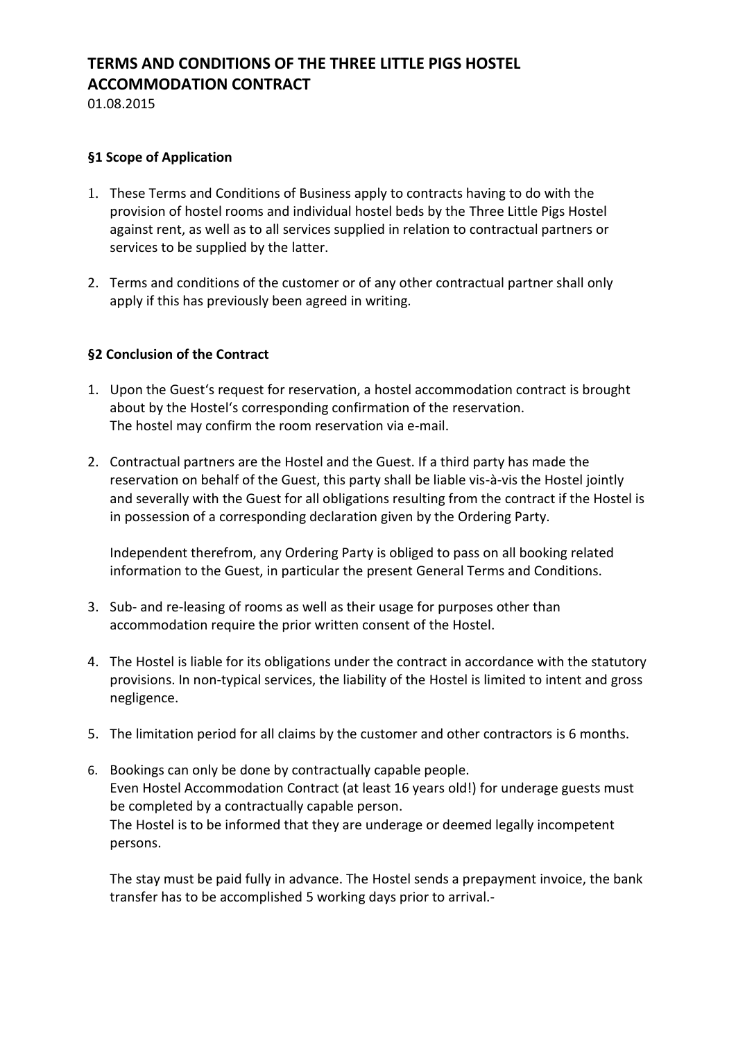# **TERMS AND CONDITIONS OF THE THREE LITTLE PIGS HOSTEL ACCOMMODATION CONTRACT**

01.08.2015

## **§1 Scope of Application**

- 1. These Terms and Conditions of Business apply to contracts having to do with the provision of hostel rooms and individual hostel beds by the Three Little Pigs Hostel against rent, as well as to all services supplied in relation to contractual partners or services to be supplied by the latter.
- 2. Terms and conditions of the customer or of any other contractual partner shall only apply if this has previously been agreed in writing.

# **§2 Conclusion of the Contract**

- 1. Upon the Guest's request for reservation, a hostel accommodation contract is brought about by the Hostel's corresponding confirmation of the reservation. The hostel may confirm the room reservation via e-mail.
- 2. Contractual partners are the Hostel and the Guest. If a third party has made the reservation on behalf of the Guest, this party shall be liable vis-à-vis the Hostel jointly and severally with the Guest for all obligations resulting from the contract if the Hostel is in possession of a corresponding declaration given by the Ordering Party.

Independent therefrom, any Ordering Party is obliged to pass on all booking related information to the Guest, in particular the present General Terms and Conditions.

- 3. Sub- and re-leasing of rooms as well as their usage for purposes other than accommodation require the prior written consent of the Hostel.
- 4. The Hostel is liable for its obligations under the contract in accordance with the statutory provisions. In non-typical services, the liability of the Hostel is limited to intent and gross negligence.
- 5. The limitation period for all claims by the customer and other contractors is 6 months.
- 6. Bookings can only be done by contractually capable people. Even Hostel Accommodation Contract (at least 16 years old!) for underage guests must be completed by a contractually capable person. The Hostel is to be informed that they are underage or deemed legally incompetent persons.

The stay must be paid fully in advance. The Hostel sends a prepayment invoice, the bank transfer has to be accomplished 5 working days prior to arrival.-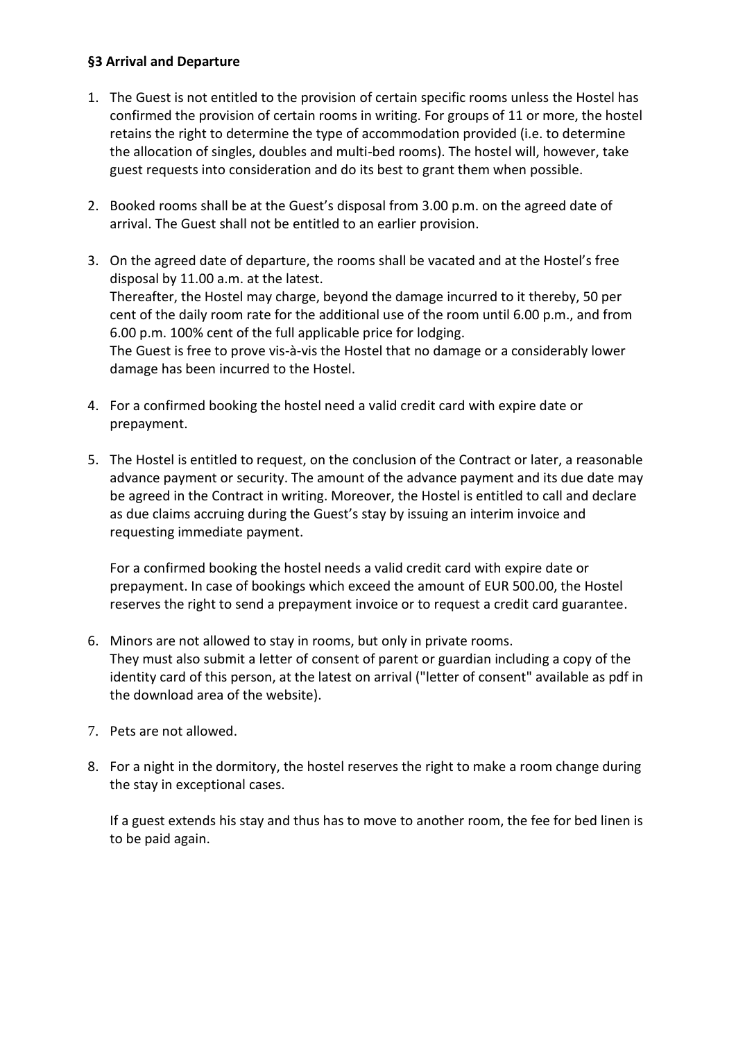# **§3 Arrival and Departure**

- 1. The Guest is not entitled to the provision of certain specific rooms unless the Hostel has confirmed the provision of certain rooms in writing. For groups of 11 or more, the hostel retains the right to determine the type of accommodation provided (i.e. to determine the allocation of singles, doubles and multi-bed rooms). The hostel will, however, take guest requests into consideration and do its best to grant them when possible.
- 2. Booked rooms shall be at the Guest's disposal from 3.00 p.m. on the agreed date of arrival. The Guest shall not be entitled to an earlier provision.
- 3. On the agreed date of departure, the rooms shall be vacated and at the Hostel's free disposal by 11.00 a.m. at the latest. Thereafter, the Hostel may charge, beyond the damage incurred to it thereby, 50 per cent of the daily room rate for the additional use of the room until 6.00 p.m., and from 6.00 p.m. 100% cent of the full applicable price for lodging. The Guest is free to prove vis-à-vis the Hostel that no damage or a considerably lower damage has been incurred to the Hostel.
- 4. For a confirmed booking the hostel need a valid credit card with expire date or prepayment.
- 5. The Hostel is entitled to request, on the conclusion of the Contract or later, a reasonable advance payment or security. The amount of the advance payment and its due date may be agreed in the Contract in writing. Moreover, the Hostel is entitled to call and declare as due claims accruing during the Guest's stay by issuing an interim invoice and requesting immediate payment.

For a confirmed booking the hostel needs a valid credit card with expire date or prepayment. In case of bookings which exceed the amount of EUR 500.00, the Hostel reserves the right to send a prepayment invoice or to request a credit card guarantee.

- 6. Minors are not allowed to stay in rooms, but only in private rooms. They must also submit a letter of consent of parent or guardian including a copy of the identity card of this person, at the latest on arrival ("letter of consent" available as pdf in the download area of the website).
- 7. Pets are not allowed.
- 8. For a night in the dormitory, the hostel reserves the right to make a room change during the stay in exceptional cases.

If a guest extends his stay and thus has to move to another room, the fee for bed linen is to be paid again.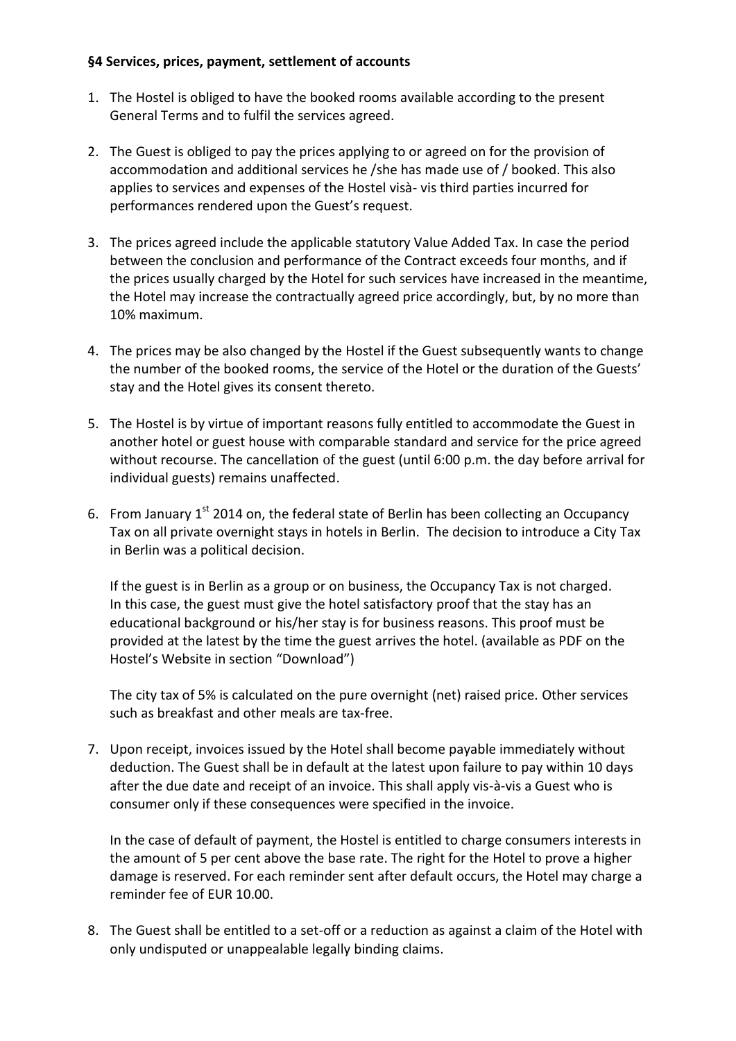## **§4 Services, prices, payment, settlement of accounts**

- 1. The Hostel is obliged to have the booked rooms available according to the present General Terms and to fulfil the services agreed.
- 2. The Guest is obliged to pay the prices applying to or agreed on for the provision of accommodation and additional services he /she has made use of / booked. This also applies to services and expenses of the Hostel visà- vis third parties incurred for performances rendered upon the Guest's request.
- 3. The prices agreed include the applicable statutory Value Added Tax. In case the period between the conclusion and performance of the Contract exceeds four months, and if the prices usually charged by the Hotel for such services have increased in the meantime, the Hotel may increase the contractually agreed price accordingly, but, by no more than 10% maximum.
- 4. The prices may be also changed by the Hostel if the Guest subsequently wants to change the number of the booked rooms, the service of the Hotel or the duration of the Guests' stay and the Hotel gives its consent thereto.
- 5. The Hostel is by virtue of important reasons fully entitled to accommodate the Guest in another hotel or guest house with comparable standard and service for the price agreed without recourse. The cancellation of the guest (until 6:00 p.m. the day before arrival for individual guests) remains unaffected.
- 6. From January  $1^{st}$  2014 on, the federal state of Berlin has been collecting an Occupancy Tax on all private overnight stays in hotels in Berlin. The decision to introduce a City Tax in Berlin was a political decision.

If the guest is in Berlin as a group or on business, the Occupancy Tax is not charged. In this case, the guest must give the hotel satisfactory proof that the stay has an educational background or his/her stay is for business reasons. This proof must be provided at the latest by the time the guest arrives the hotel. (available as PDF on the Hostel's Website in section "Download")

The city tax of 5% is calculated on the pure overnight (net) raised price. Other services such as breakfast and other meals are tax-free.

7. Upon receipt, invoices issued by the Hotel shall become payable immediately without deduction. The Guest shall be in default at the latest upon failure to pay within 10 days after the due date and receipt of an invoice. This shall apply vis-à-vis a Guest who is consumer only if these consequences were specified in the invoice.

In the case of default of payment, the Hostel is entitled to charge consumers interests in the amount of 5 per cent above the base rate. The right for the Hotel to prove a higher damage is reserved. For each reminder sent after default occurs, the Hotel may charge a reminder fee of EUR 10.00.

8. The Guest shall be entitled to a set-off or a reduction as against a claim of the Hotel with only undisputed or unappealable legally binding claims.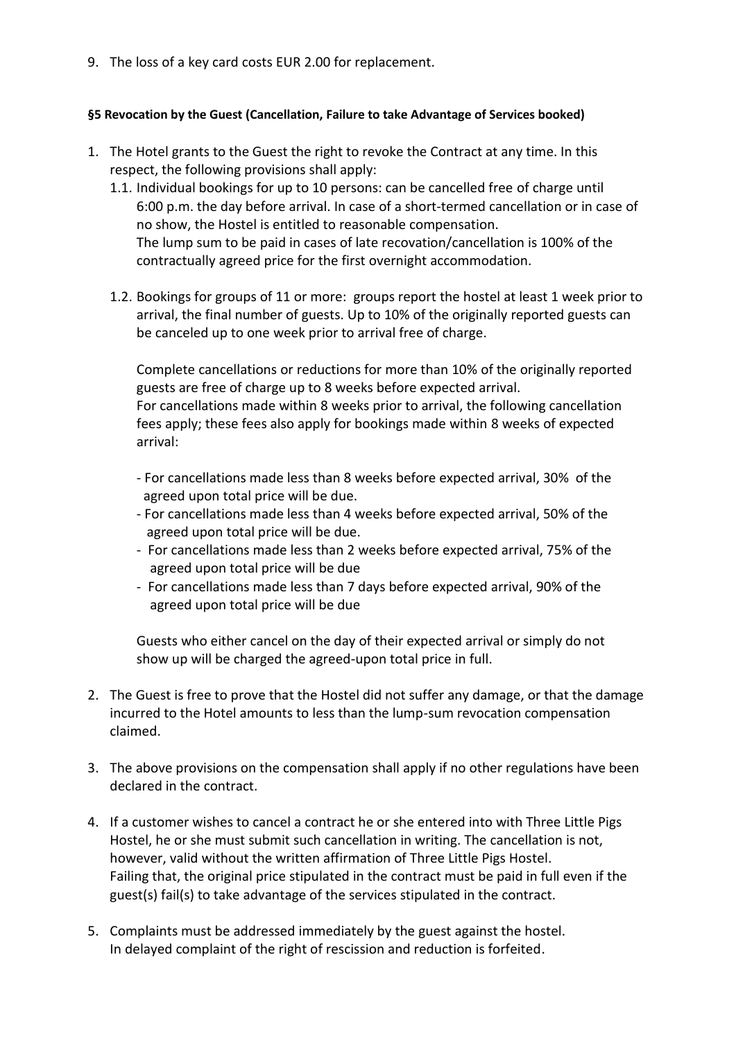9. The loss of a key card costs EUR 2.00 for replacement.

#### **§5 Revocation by the Guest (Cancellation, Failure to take Advantage of Services booked)**

- 1. The Hotel grants to the Guest the right to revoke the Contract at any time. In this respect, the following provisions shall apply:
	- 1.1. Individual bookings for up to 10 persons: can be cancelled free of charge until 6:00 p.m. the day before arrival. In case of a short-termed cancellation or in case of no show, the Hostel is entitled to reasonable compensation. The lump sum to be paid in cases of late recovation/cancellation is 100% of the contractually agreed price for the first overnight accommodation.
	- 1.2. Bookings for groups of 11 or more: groups report the hostel at least 1 week prior to arrival, the final number of guests. Up to 10% of the originally reported guests can be canceled up to one week prior to arrival free of charge.

Complete cancellations or reductions for more than 10% of the originally reported guests are free of charge up to 8 weeks before expected arrival. For cancellations made within 8 weeks prior to arrival, the following cancellation fees apply; these fees also apply for bookings made within 8 weeks of expected arrival:

- For cancellations made less than 8 weeks before expected arrival, 30% of the agreed upon total price will be due.
- For cancellations made less than 4 weeks before expected arrival, 50% of the agreed upon total price will be due.
- For cancellations made less than 2 weeks before expected arrival, 75% of the agreed upon total price will be due
- For cancellations made less than 7 days before expected arrival, 90% of the agreed upon total price will be due

Guests who either cancel on the day of their expected arrival or simply do not show up will be charged the agreed-upon total price in full.

- 2. The Guest is free to prove that the Hostel did not suffer any damage, or that the damage incurred to the Hotel amounts to less than the lump-sum revocation compensation claimed.
- 3. The above provisions on the compensation shall apply if no other regulations have been declared in the contract.
- 4. If a customer wishes to cancel a contract he or she entered into with Three Little Pigs Hostel, he or she must submit such cancellation in writing. The cancellation is not, however, valid without the written affirmation of Three Little Pigs Hostel. Failing that, the original price stipulated in the contract must be paid in full even if the guest(s) fail(s) to take advantage of the services stipulated in the contract.
- 5. Complaints must be addressed immediately by the guest against the hostel. In delayed complaint of the right of rescission and reduction is forfeited.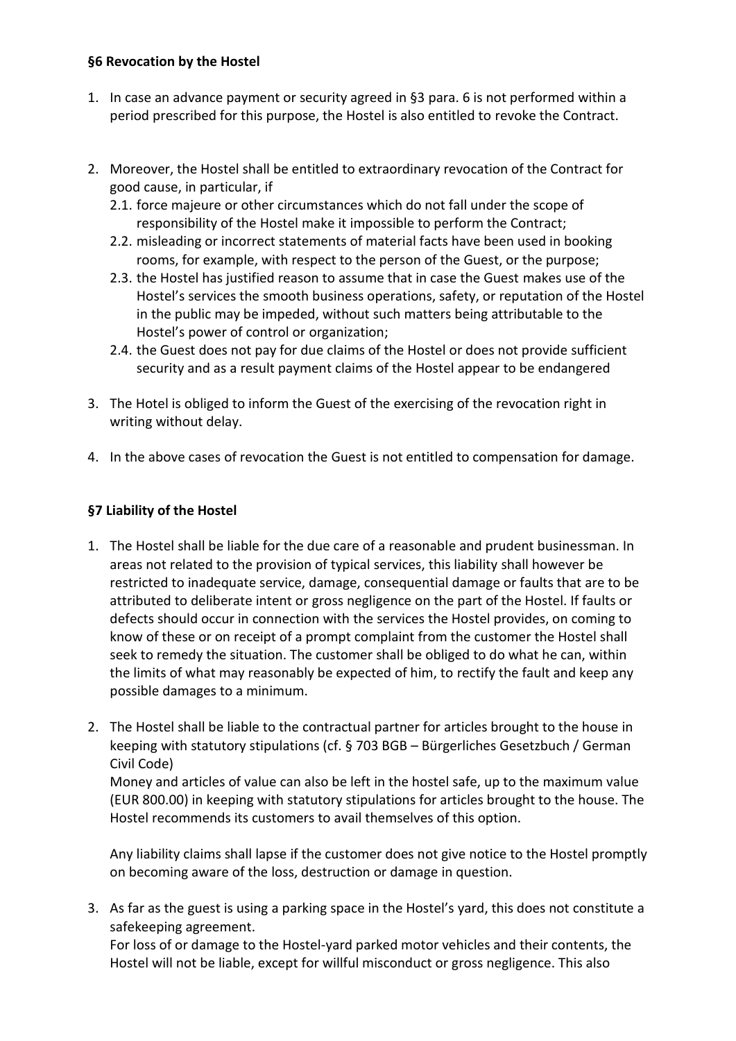# **§6 Revocation by the Hostel**

- 1. In case an advance payment or security agreed in §3 para. 6 is not performed within a period prescribed for this purpose, the Hostel is also entitled to revoke the Contract.
- 2. Moreover, the Hostel shall be entitled to extraordinary revocation of the Contract for good cause, in particular, if
	- 2.1. force majeure or other circumstances which do not fall under the scope of responsibility of the Hostel make it impossible to perform the Contract;
	- 2.2. misleading or incorrect statements of material facts have been used in booking rooms, for example, with respect to the person of the Guest, or the purpose;
	- 2.3. the Hostel has justified reason to assume that in case the Guest makes use of the Hostel's services the smooth business operations, safety, or reputation of the Hostel in the public may be impeded, without such matters being attributable to the Hostel's power of control or organization;
	- 2.4. the Guest does not pay for due claims of the Hostel or does not provide sufficient security and as a result payment claims of the Hostel appear to be endangered
- 3. The Hotel is obliged to inform the Guest of the exercising of the revocation right in writing without delay.
- 4. In the above cases of revocation the Guest is not entitled to compensation for damage.

# **§7 Liability of the Hostel**

- 1. The Hostel shall be liable for the due care of a reasonable and prudent businessman. In areas not related to the provision of typical services, this liability shall however be restricted to inadequate service, damage, consequential damage or faults that are to be attributed to deliberate intent or gross negligence on the part of the Hostel. If faults or defects should occur in connection with the services the Hostel provides, on coming to know of these or on receipt of a prompt complaint from the customer the Hostel shall seek to remedy the situation. The customer shall be obliged to do what he can, within the limits of what may reasonably be expected of him, to rectify the fault and keep any possible damages to a minimum.
- 2. The Hostel shall be liable to the contractual partner for articles brought to the house in keeping with statutory stipulations (cf. § 703 BGB – Bürgerliches Gesetzbuch / German Civil Code)

Money and articles of value can also be left in the hostel safe, up to the maximum value (EUR 800.00) in keeping with statutory stipulations for articles brought to the house. The Hostel recommends its customers to avail themselves of this option.

Any liability claims shall lapse if the customer does not give notice to the Hostel promptly on becoming aware of the loss, destruction or damage in question.

3. As far as the guest is using a parking space in the Hostel's yard, this does not constitute a safekeeping agreement. For loss of or damage to the Hostel-yard parked motor vehicles and their contents, the

Hostel will not be liable, except for willful misconduct or gross negligence. This also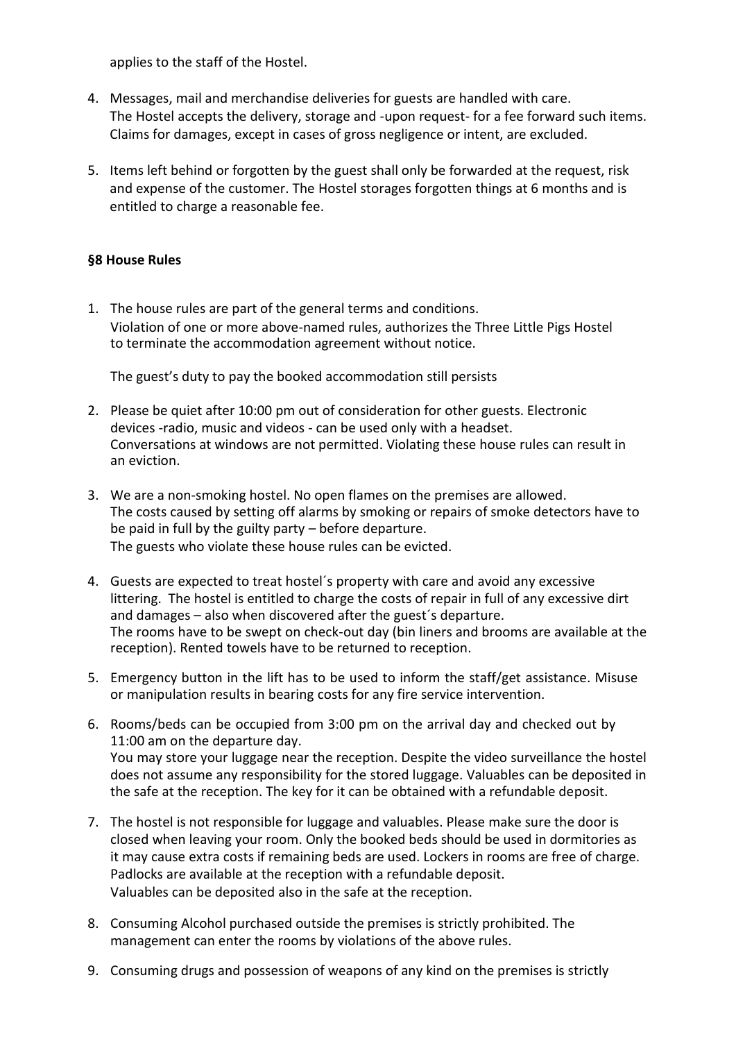applies to the staff of the Hostel.

- 4. Messages, mail and merchandise deliveries for guests are handled with care. The Hostel accepts the delivery, storage and -upon request- for a fee forward such items. Claims for damages, except in cases of gross negligence or intent, are excluded.
- 5. Items left behind or forgotten by the guest shall only be forwarded at the request, risk and expense of the customer. The Hostel storages forgotten things at 6 months and is entitled to charge a reasonable fee.

## **§8 House Rules**

1. The house rules are part of the general terms and conditions. Violation of one or more above-named rules, authorizes the Three Little Pigs Hostel to terminate the accommodation agreement without notice.

The guest's duty to pay the booked accommodation still persists

- 2. Please be quiet after 10:00 pm out of consideration for other guests. Electronic devices -radio, music and videos - can be used only with a headset. Conversations at windows are not permitted. Violating these house rules can result in an eviction.
- 3. We are a non-smoking hostel. No open flames on the premises are allowed. The costs caused by setting off alarms by smoking or repairs of smoke detectors have to be paid in full by the guilty party – before departure. The guests who violate these house rules can be evicted.
- 4. Guests are expected to treat hostel´s property with care and avoid any excessive littering. The hostel is entitled to charge the costs of repair in full of any excessive dirt and damages – also when discovered after the guest´s departure. The rooms have to be swept on check-out day (bin liners and brooms are available at the reception). Rented towels have to be returned to reception.
- 5. Emergency button in the lift has to be used to inform the staff/get assistance. Misuse or manipulation results in bearing costs for any fire service intervention.
- 6. Rooms/beds can be occupied from 3:00 pm on the arrival day and checked out by 11:00 am on the departure day. You may store your luggage near the reception. Despite the video surveillance the hostel does not assume any responsibility for the stored luggage. Valuables can be deposited in the safe at the reception. The key for it can be obtained with a refundable deposit.
- 7. The hostel is not responsible for luggage and valuables. Please make sure the door is closed when leaving your room. Only the booked beds should be used in dormitories as it may cause extra costs if remaining beds are used. Lockers in rooms are free of charge. Padlocks are available at the reception with a refundable deposit. Valuables can be deposited also in the safe at the reception.
- 8. Consuming Alcohol purchased outside the premises is strictly prohibited. The management can enter the rooms by violations of the above rules.
- 9. Consuming drugs and possession of weapons of any kind on the premises is strictly